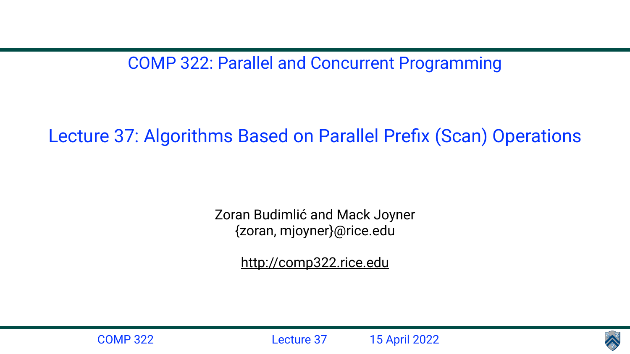COMP 322: Parallel and Concurrent Programming

Lecture 37: Algorithms Based on Parallel Prefix (Scan) Operations

Zoran Budimlić and Mack Joyner {zoran, mjoyner}@rice.edu

<http://comp322.rice.edu>





COMP 322 Lecture 37 15 April 2022

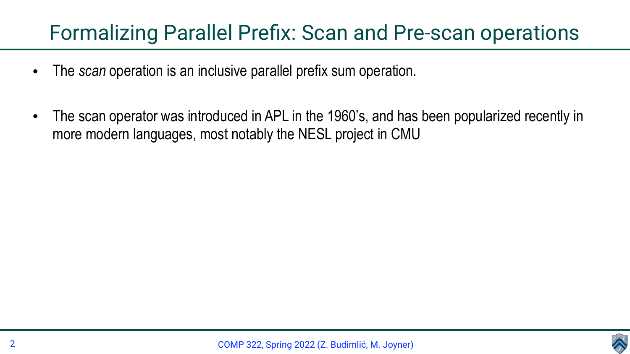COMP 322, Spring 2022 (Z. Budimlić, M. Joyner)



### Formalizing Parallel Prefix: Scan and Pre-scan operations

- The *scan* operation is an inclusive parallel prefix sum operation.
- more modern languages, most notably the NESL project in CMU

• The scan operator was introduced in APL in the 1960's, and has been popularized recently in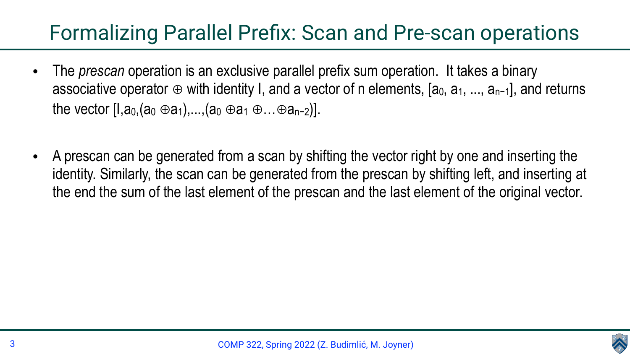### Formalizing Parallel Prefix: Scan and Pre-scan operations

- The *prescan* operation is an exclusive parallel prefix sum operation. It takes a binary associative operator ⊕ with identity I, and a vector of n elements,  $[a_0, a_1, ..., a_{n-1}]$ , and returns the vector  $[1, a_0, (a_0 \oplus a_1), ..., (a_0 \oplus a_1 \oplus ... \oplus a_{n-2})].$
- A prescan can be generated from a scan by shifting the vector right by one and inserting the identity. Similarly, the scan can be generated from the prescan by shifting left, and inserting at the end the sum of the last element of the prescan and the last element of the original vector.

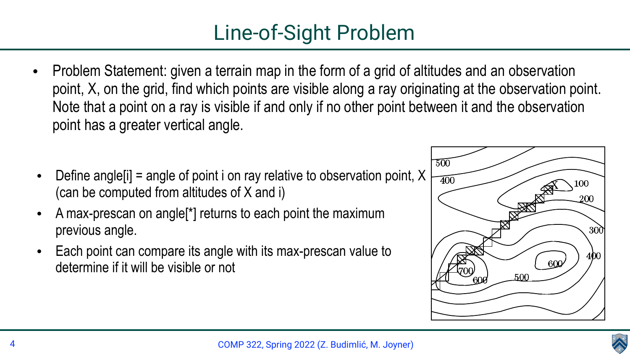• Problem Statement: given a terrain map in the form of a grid of altitudes and an observation point, X, on the grid, find which points are visible along a ray originating at the observation point. Note that a point on a ray is visible if and only if no other point between it and the observation  $\mathbf{r}$ in parallel for each index index index index index index index index index index index index index index index index index index index index index index index index index index index index index index index index itudes and an observation









- point has a greater vertical angle.
- Define angle  $[i]$  = angle of point i on ray relative to observation point, X (can be computed from altitudes of X and i)
- A max-prescan on angle<sup>r'</sup> returns to each point the maximum previous angle.
- Each point can compare its angle with its max-prescan value to determine if it will be visible or not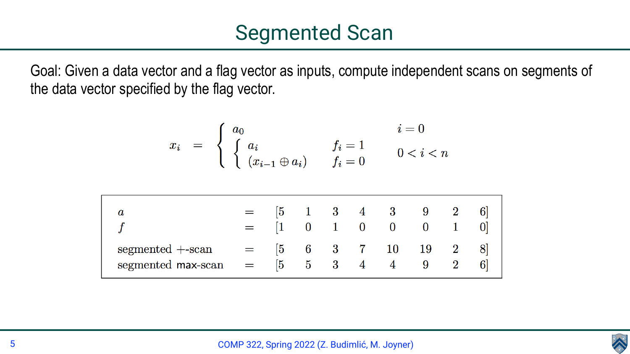### COMP 322, Spring 2022 (Z. Budimlić, M. Joyner)



Goal: Given a data vector and a flag vector as inputs, compute independent scans on segments of the data vector specified by the flag vector.

$$
x_i = \begin{cases} a_0 & i = 0 \\ \begin{cases} a_i & f_i = 1 \\ (x_{i-1} \oplus a_i) & f_i = 0 \end{cases} & 0 < i < n \end{cases}
$$

|                                           |              |            |   | $\begin{array}{ccccccc} \boxed{5} & & 1 & & 3 & & 4 & & 3 \end{array}$<br>$0 \quad 1 \quad 0 \quad 0 \quad 0 \quad 1$ | 9 |  |
|-------------------------------------------|--------------|------------|---|-----------------------------------------------------------------------------------------------------------------------|---|--|
| $segmented + -scan$<br>segmented max-scan | $ 5 \rangle$ | $5\quad 3$ | 4 | $\begin{bmatrix} 5 & 6 & 3 & 7 & 10 & 19 & 2 \end{bmatrix}$                                                           | 9 |  |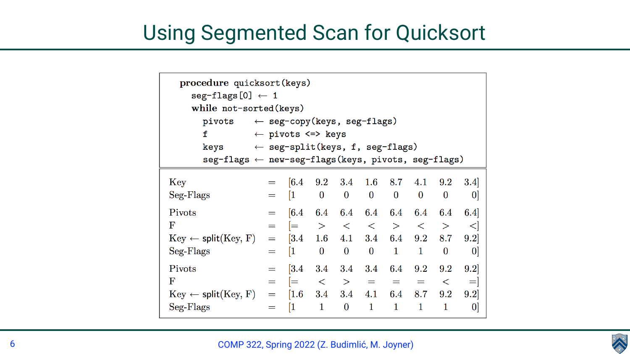### COMP 322, Spring 2022 (Z. Budimlić, M. Joyner)



### Using Segmented Scan for Quicksort

| procedure quicksort (keys)<br>$seg-flags [0] \leftarrow 1$<br>while not-sorted (keys) |                                            |                                                             |                                                                         |                  |                  |              |             |          |     |
|---------------------------------------------------------------------------------------|--------------------------------------------|-------------------------------------------------------------|-------------------------------------------------------------------------|------------------|------------------|--------------|-------------|----------|-----|
| pivots $\leftarrow$ seg-copy(keys, seg-flags)                                         |                                            |                                                             |                                                                         |                  |                  |              |             |          |     |
| f<br>$\leftarrow$ pivots $\leftarrow$ keys                                            |                                            |                                                             |                                                                         |                  |                  |              |             |          |     |
| keys                                                                                  | $\leftarrow$ seg-split(keys, f, seg-flags) |                                                             |                                                                         |                  |                  |              |             |          |     |
| $seg-flags \leftarrow new-seg-flags(keys, pivots, seg-flags)$                         |                                            |                                                             |                                                                         |                  |                  |              |             |          |     |
| Key<br>$Seg-Flags$                                                                    |                                            | $=$ [6.4 9.2 3.4 1.6 8.7 4.1 9.2 3.4]<br>$=$ [1 0 0 0 0 0 0 |                                                                         |                  |                  |              |             |          | 0   |
| Pivots                                                                                | $=$ $\qquad$                               |                                                             | $\begin{bmatrix} 6.4 & 6.4 & 6.4 & 6.4 & 6.4 & 6.4 & 6.4 \end{bmatrix}$ |                  |                  |              |             |          | 6.4 |
| $\rm F$                                                                               | $=$                                        |                                                             | >                                                                       | $\lt$            | $\alpha$         | $>$ $>$      | $\lt$       |          |     |
| $Key \leftarrow split(Key, F)$                                                        | $=$                                        | $\vert 3.4 \vert$                                           | $1.6\,$                                                                 | 4.1              | 3.4              | 6.4          | 9.2         | 8.7      | 9.2 |
| Seg-Flags                                                                             | $=$                                        | 1                                                           | $\theta$                                                                | $\bf{0}$         | $\boldsymbol{0}$ | $\mathbf{1}$ | $\mathbf 1$ | $\theta$ | 0   |
| Pivots                                                                                | $=$                                        | 3.4                                                         | $3.4\,$                                                                 | 3.4              | $3.4\,$          | $6.4\,$      | 9.2         | $9.2\,$  | 9.2 |
| $\rm F$                                                                               |                                            |                                                             |                                                                         | >                | $\!\!\!=\!\!\!$  | $=$          |             |          | $=$ |
| $Key \leftarrow split(Key, F)$                                                        | $=$                                        | 1.6                                                         | 3.4                                                                     | 3.4              | 4.1              | 6.4          | 8.7         | 9.2      | 9.2 |
| $Seg-Flags$                                                                           | $=$                                        | 1                                                           |                                                                         | $\boldsymbol{0}$ | $\mathbf 1$      | $\mathbf 1$  | $\mathbf 1$ |          |     |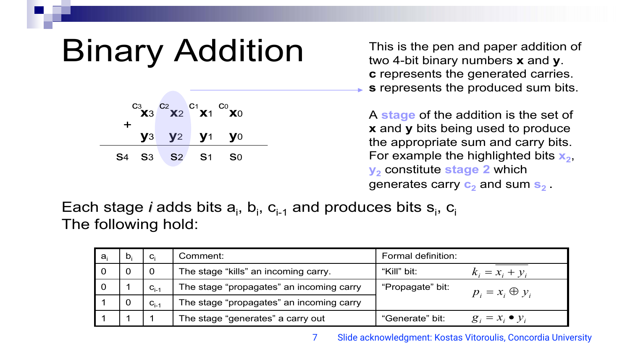# Binary Addition

Each stage *i* adds bits a<sub>i</sub>, b<sub>i</sub>, c<sub>i-1</sub> and produces bits s<sub>i</sub>, c<sub>i</sub> The following hold:

This is the pen and paper addition of two 4-bit binary numbers **x** and **y**. **c** represents the generated carries. **s** represents the produced sum bits.

| ┿ | $C_3$ $C_2$ $C_1$ $C_0$ $C_2$ $C_1$ $C_0$ $C_1$ |  |  |
|---|-------------------------------------------------|--|--|
|   | <b>y3 y2 y1 y0</b>                              |  |  |
|   | S4 S3 S2 S1 S0                                  |  |  |

A **stage** of the addition is the set of **x** and **y** bits being used to produce the appropriate sum and carry bits. For example the highlighted bits  $x_2$ , **y**<sub>2</sub> constitute stage 2 which generates carry **c2** and sum **s2** .

|   | $\mathbf{C}_{i}$ | Comment:                                 | <b>Formal definition:</b>                  |
|---|------------------|------------------------------------------|--------------------------------------------|
|   |                  | The stage "kills" an incoming carry.     | "Kill" bit:<br>$k_i = x_i + y_i$           |
| O | $C_{i-1}$        | The stage "propagates" an incoming carry | "Propagate" bit:<br>$p_i = x_i \oplus y_i$ |
|   | $C_{i-1}$        | The stage "propagates" an incoming carry |                                            |
|   |                  | The stage "generates" a carry out        | "Generate" bit:<br>$g_i = x_i \bullet y_i$ |

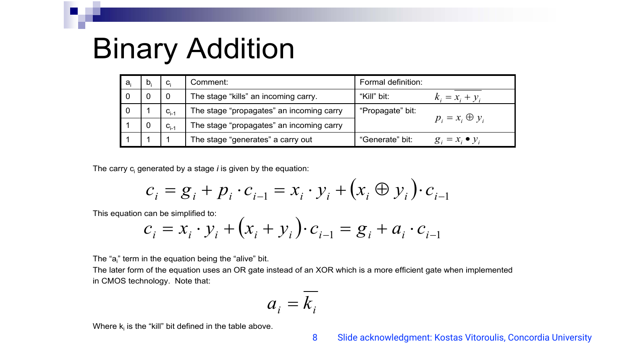## Binary Addition

The " $a_i$ " term in the equation being the "alive" bit. The later form of the equation uses an OR gate instead of an XOR which is a more efficient gate when implemented in CMOS technology. Note that:

Where  $k_i$  is the "kill" bit defined in the table above.

| $a_i$          | D: | $C_i$     | Comment:                                 | <b>Formal definition:</b>                  |  |
|----------------|----|-----------|------------------------------------------|--------------------------------------------|--|
| $\overline{O}$ |    |           | The stage "kills" an incoming carry.     | "Kill" bit:<br>$k_i = x_i + y_i$           |  |
| $\overline{0}$ |    | $C_{i-1}$ | The stage "propagates" an incoming carry | "Propagate" bit:                           |  |
|                |    | $C_{i-1}$ | The stage "propagates" an incoming carry | $p_i = x_i \oplus y_i$                     |  |
|                |    |           | The stage "generates" a carry out        | "Generate" bit:<br>$g_i = x_i \bullet y_i$ |  |

The carry c<sub>i</sub> generated by a stage *i* is given by the equation:

$$
c_i = g_i + p_i \cdot c_{i-1} = x_i \cdot y_i + (x_i \oplus y_i) \cdot c_{i-1}
$$
  
can be simplified to:  

$$
c_i = x_i \cdot y_i + (x_i + y_i) \cdot c_{i-1} = g_i + a_i \cdot c_{i-1}
$$

This equation

$$
c_i = g_i + p_i \cdot c_{i-1} = x_i \cdot y_i + (x_i \oplus y_i) \cdot c_{i-1}
$$
  
can be simplified to:  

$$
c_i = x_i \cdot y_i + (x_i + y_i) \cdot c_{i-1} = g_i + a_i \cdot c_{i-1}
$$

$$
a_i = k_i
$$

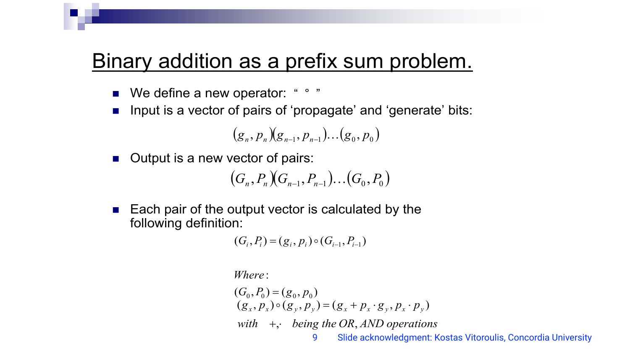### Binary addition as a prefix sum problem.

- We define a new operator: "°"
- Input is a vector of pairs of 'propagate' and 'generate' bits:

 $(g_n, p_n)(g_{n-1})$ 

- **n** Output is a new vector of pair  $(G_n, P_n)(G_{n-1}, P_{n-1})...$
- $\blacksquare$  Each pair of the output vector is calculated by the following definition:

 $(G_i, P_i) = (g_i, p_i) \circ (G_{i-1}, P_{i-1})$ 

: *Where*

 $(G_0, P_0) = (g_0, p_0)$ 

$$
, p_{n-1}). . . (g_0, p_0)
$$
  
irs:

$$
_{\!1},P_{n-1}),..(G_{0},P_{0})
$$

 $(g_x, p_y) \circ (g_y, p_y) = (g_x + p_x \cdot g_y, p_x \cdot p_y)$ 

with  $+$ , being the OR, AND operations

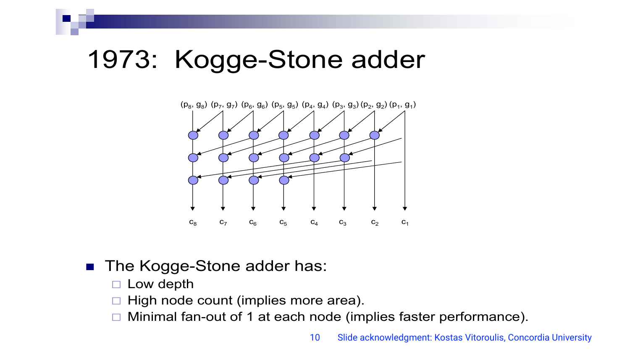### 1973: Kogge-Stone adder



### ■ The Kogge-Stone adder has:

- □ Low depth
- □ High node count (implies more area).
- □ Minimal fan-out of 1 at each node (implies faster performance).